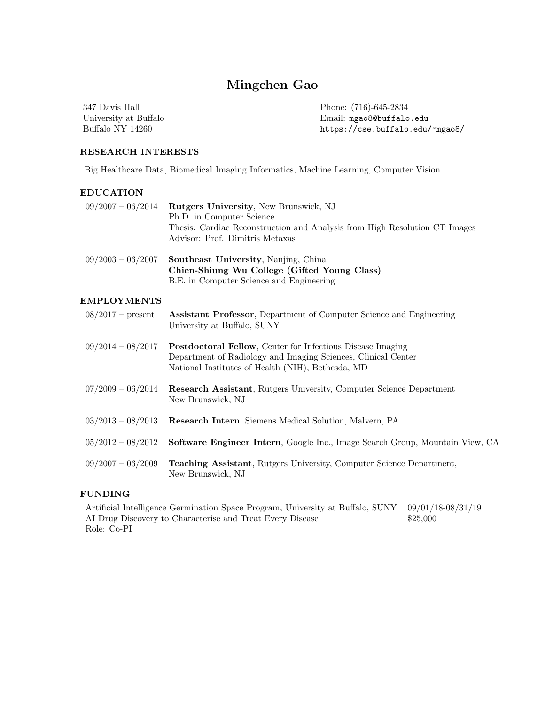# Mingchen Gao

347 Davis Hall Phone: (716)-645-2834

University at Buffalo **Email:** mgao8@buffalo.edu Buffalo NY 14260 https://cse.buffalo.edu/~mgao8/

## RESEARCH INTERESTS

Big Healthcare Data, Biomedical Imaging Informatics, Machine Learning, Computer Vision

#### EDUCATION

| $09/2007 - 06/2014$ | Rutgers University, New Brunswick, NJ                                                                                                   |
|---------------------|-----------------------------------------------------------------------------------------------------------------------------------------|
|                     | Ph.D. in Computer Science                                                                                                               |
|                     | Thesis: Cardiac Reconstruction and Analysis from High Resolution CT Images                                                              |
|                     | Advisor: Prof. Dimitris Metaxas                                                                                                         |
| $09/2003 - 06/2007$ | <b>Southeast University, Nanjing, China</b><br>Chien-Shiung Wu College (Gifted Young Class)<br>B.E. in Computer Science and Engineering |
| <b>EMPLOYMENTS</b>  |                                                                                                                                         |

# 08/2017 – present Assistant Professor, Department of Computer Science and Engineering University at Buffalo, SUNY

| $09/2014 - 08/2017$ | <b>Postdoctoral Fellow</b> , Center for Infectious Disease Imaging |
|---------------------|--------------------------------------------------------------------|
|                     | Department of Radiology and Imaging Sciences, Clinical Center      |
|                     | National Institutes of Health (NIH), Bethesda, MD                  |

- 07/2009 06/2014 Research Assistant, Rutgers University, Computer Science Department New Brunswick, NJ
- 03/2013 08/2013 Research Intern, Siemens Medical Solution, Malvern, PA
- 05/2012 08/2012 Software Engineer Intern, Google Inc., Image Search Group, Mountain View, CA
- 09/2007 06/2009 Teaching Assistant, Rutgers University, Computer Science Department, New Brunswick, NJ

# FUNDING

Artificial Intelligence Germination Space Program, University at Buffalo, SUNY 09/01/18-08/31/19 AI Drug Discovery to Characterise and Treat Every Disease \$25,000 Role: Co-PI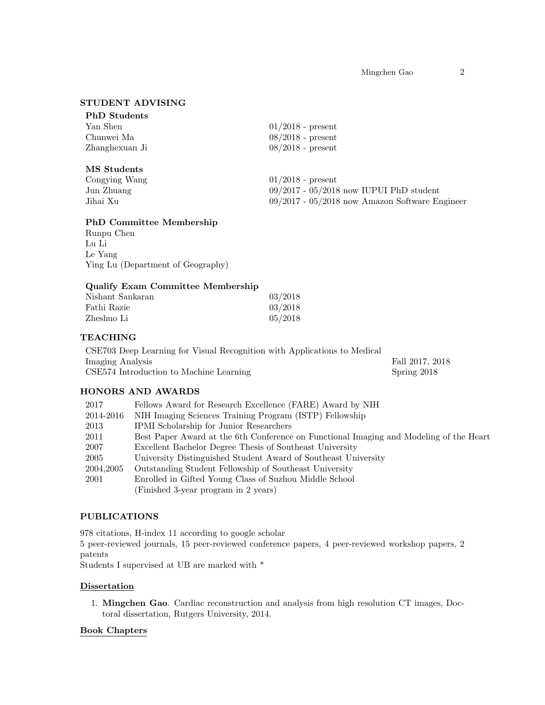# STUDENT ADVISING

| <b>PhD</b> Students |                                           |
|---------------------|-------------------------------------------|
| Yan Shen            | $01/2018$ - present                       |
| Chunwei Ma          | $08/2018$ - present                       |
| Zhanghexuan Ji      | $08/2018$ - present                       |
| MS Students         |                                           |
| Congying Wang       | $01/2018$ - present                       |
| Jun Zhuang          | $09/2017 - 05/2018$ now IUPUI PhD student |

Jihai Xu 09/2017 - 05/2018 now Amazon Software Engineer

## PhD Committee Membership

Runpu Chen Lu Li Le Yang Ying Lu (Department of Geography)

## Qualify Exam Committee Membership

| Nishant Sankaran | 03/2018 |
|------------------|---------|
| Fathi Razie      | 03/2018 |
| Zheshuo Li       | 05/2018 |

# **TEACHING**

| CSE703 Deep Learning for Visual Recognition with Applications to Medical |                 |
|--------------------------------------------------------------------------|-----------------|
| Imaging Analysis                                                         | Fall 2017, 2018 |
| CSE574 Introduction to Machine Learning                                  | Spring 2018     |

# HONORS AND AWARDS

| 2017      | Fellows Award for Research Excellence (FARE) Award by NIH                              |
|-----------|----------------------------------------------------------------------------------------|
| 2014-2016 | NIH Imaging Sciences Training Program (ISTP) Fellowship                                |
| 2013      | <b>IPMI</b> Scholarship for Junior Researchers                                         |
| 2011      | Best Paper Award at the 6th Conference on Functional Imaging and Modeling of the Heart |
| 2007      | Excellent Bachelor Degree Thesis of Southeast University                               |
| 2005      | University Distinguished Student Award of Southeast University                         |
| 2004,2005 | Outstanding Student Fellowship of Southeast University                                 |
| 2001      | Enrolled in Gifted Young Class of Suzhou Middle School                                 |
|           | (Finished 3-year program in 2 years)                                                   |
|           |                                                                                        |

## PUBLICATIONS

978 citations, H-index 11 according to google scholar

5 peer-reviewed journals, 15 peer-reviewed conference papers, 4 peer-reviewed workshop papers, 2 patents

Students I supervised at UB are marked with \*

## **Dissertation**

1. Mingchen Gao. Cardiac reconstruction and analysis from high resolution CT images, Doctoral dissertation, Rutgers University, 2014.

## Book Chapters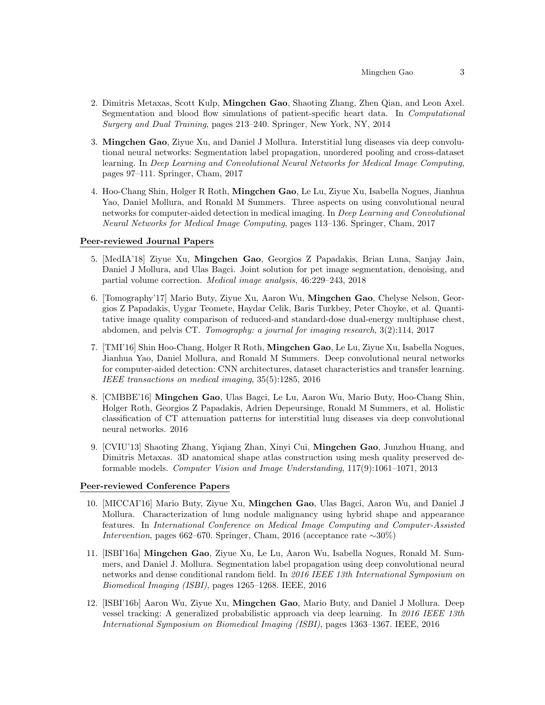- 2. Dimitris Metaxas, Scott Kulp, Mingchen Gao, Shaoting Zhang, Zhen Qian, and Leon Axel. Segmentation and blood flow simulations of patient-specific heart data. In Computational Surgery and Dual Training, pages 213–240. Springer, New York, NY, 2014
- 3. Mingchen Gao, Ziyue Xu, and Daniel J Mollura. Interstitial lung diseases via deep convolutional neural networks: Segmentation label propagation, unordered pooling and cross-dataset learning. In Deep Learning and Convolutional Neural Networks for Medical Image Computing, pages 97–111. Springer, Cham, 2017
- 4. Hoo-Chang Shin, Holger R Roth, Mingchen Gao, Le Lu, Ziyue Xu, Isabella Nogues, Jianhua Yao, Daniel Mollura, and Ronald M Summers. Three aspects on using convolutional neural networks for computer-aided detection in medical imaging. In Deep Learning and Convolutional Neural Networks for Medical Image Computing, pages 113–136. Springer, Cham, 2017

#### Peer-reviewed Journal Papers

- 5. [MedIA'18] Ziyue Xu, Mingchen Gao, Georgios Z Papadakis, Brian Luna, Sanjay Jain, Daniel J Mollura, and Ulas Bagci. Joint solution for pet image segmentation, denoising, and partial volume correction. Medical image analysis, 46:229–243, 2018
- 6. [Tomography'17] Mario Buty, Ziyue Xu, Aaron Wu, Mingchen Gao, Chelyse Nelson, Georgios Z Papadakis, Uygar Teomete, Haydar Celik, Baris Turkbey, Peter Choyke, et al. Quantitative image quality comparison of reduced-and standard-dose dual-energy multiphase chest, abdomen, and pelvis CT. Tomography: a journal for imaging research, 3(2):114, 2017
- 7. [TMI'16] Shin Hoo-Chang, Holger R Roth, Mingchen Gao, Le Lu, Ziyue Xu, Isabella Nogues, Jianhua Yao, Daniel Mollura, and Ronald M Summers. Deep convolutional neural networks for computer-aided detection: CNN architectures, dataset characteristics and transfer learning. IEEE transactions on medical imaging, 35(5):1285, 2016
- 8. [CMBBE'16] Mingchen Gao, Ulas Bagci, Le Lu, Aaron Wu, Mario Buty, Hoo-Chang Shin, Holger Roth, Georgios Z Papadakis, Adrien Depeursinge, Ronald M Summers, et al. Holistic classification of CT attenuation patterns for interstitial lung diseases via deep convolutional neural networks. 2016
- 9. [CVIU'13] Shaoting Zhang, Yiqiang Zhan, Xinyi Cui, Mingchen Gao, Junzhou Huang, and Dimitris Metaxas. 3D anatomical shape atlas construction using mesh quality preserved deformable models. Computer Vision and Image Understanding, 117(9):1061–1071, 2013

#### Peer-reviewed Conference Papers

- 10. [MICCAI'16] Mario Buty, Ziyue Xu, Mingchen Gao, Ulas Bagci, Aaron Wu, and Daniel J Mollura. Characterization of lung nodule malignancy using hybrid shape and appearance features. In International Conference on Medical Image Computing and Computer-Assisted Intervention, pages 662–670. Springer, Cham, 2016 (acceptance rate ∼30%)
- 11. [ISBI'16a] Mingchen Gao, Ziyue Xu, Le Lu, Aaron Wu, Isabella Nogues, Ronald M. Summers, and Daniel J. Mollura. Segmentation label propagation using deep convolutional neural networks and dense conditional random field. In 2016 IEEE 13th International Symposium on Biomedical Imaging (ISBI), pages 1265–1268. IEEE, 2016
- 12. [ISBI'16b] Aaron Wu, Ziyue Xu, Mingchen Gao, Mario Buty, and Daniel J Mollura. Deep vessel tracking: A generalized probabilistic approach via deep learning. In 2016 IEEE 13th International Symposium on Biomedical Imaging (ISBI), pages 1363–1367. IEEE, 2016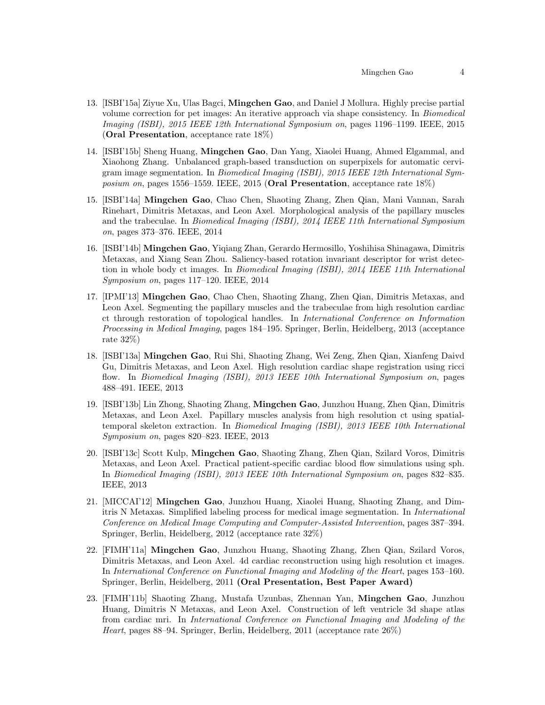- 13. [ISBI'15a] Ziyue Xu, Ulas Bagci, Mingchen Gao, and Daniel J Mollura. Highly precise partial volume correction for pet images: An iterative approach via shape consistency. In Biomedical Imaging (ISBI), 2015 IEEE 12th International Symposium on, pages 1196–1199. IEEE, 2015 (Oral Presentation, acceptance rate 18%)
- 14. [ISBI'15b] Sheng Huang, Mingchen Gao, Dan Yang, Xiaolei Huang, Ahmed Elgammal, and Xiaohong Zhang. Unbalanced graph-based transduction on superpixels for automatic cervigram image segmentation. In Biomedical Imaging (ISBI), 2015 IEEE 12th International Symposium on, pages 1556–1559. IEEE, 2015 (Oral Presentation, acceptance rate 18%)
- 15. [ISBI'14a] Mingchen Gao, Chao Chen, Shaoting Zhang, Zhen Qian, Mani Vannan, Sarah Rinehart, Dimitris Metaxas, and Leon Axel. Morphological analysis of the papillary muscles and the trabeculae. In Biomedical Imaging (ISBI), 2014 IEEE 11th International Symposium on, pages 373–376. IEEE, 2014
- 16. [ISBI'14b] Mingchen Gao, Yiqiang Zhan, Gerardo Hermosillo, Yoshihisa Shinagawa, Dimitris Metaxas, and Xiang Sean Zhou. Saliency-based rotation invariant descriptor for wrist detection in whole body ct images. In Biomedical Imaging (ISBI), 2014 IEEE 11th International Symposium on, pages 117–120. IEEE, 2014
- 17. [IPMI'13] Mingchen Gao, Chao Chen, Shaoting Zhang, Zhen Qian, Dimitris Metaxas, and Leon Axel. Segmenting the papillary muscles and the trabeculae from high resolution cardiac ct through restoration of topological handles. In International Conference on Information Processing in Medical Imaging, pages 184–195. Springer, Berlin, Heidelberg, 2013 (acceptance rate 32%)
- 18. [ISBI'13a] Mingchen Gao, Rui Shi, Shaoting Zhang, Wei Zeng, Zhen Qian, Xianfeng Daivd Gu, Dimitris Metaxas, and Leon Axel. High resolution cardiac shape registration using ricci flow. In Biomedical Imaging (ISBI), 2013 IEEE 10th International Symposium on, pages 488–491. IEEE, 2013
- 19. [ISBI'13b] Lin Zhong, Shaoting Zhang, Mingchen Gao, Junzhou Huang, Zhen Qian, Dimitris Metaxas, and Leon Axel. Papillary muscles analysis from high resolution ct using spatialtemporal skeleton extraction. In Biomedical Imaging (ISBI), 2013 IEEE 10th International Symposium on, pages 820–823. IEEE, 2013
- 20. [ISBI'13c] Scott Kulp, Mingchen Gao, Shaoting Zhang, Zhen Qian, Szilard Voros, Dimitris Metaxas, and Leon Axel. Practical patient-specific cardiac blood flow simulations using sph. In Biomedical Imaging (ISBI), 2013 IEEE 10th International Symposium on, pages 832–835. IEEE, 2013
- 21. [MICCAI'12] Mingchen Gao, Junzhou Huang, Xiaolei Huang, Shaoting Zhang, and Dimitris N Metaxas. Simplified labeling process for medical image segmentation. In International Conference on Medical Image Computing and Computer-Assisted Intervention, pages 387–394. Springer, Berlin, Heidelberg, 2012 (acceptance rate 32%)
- 22. [FIMH'11a] Mingchen Gao, Junzhou Huang, Shaoting Zhang, Zhen Qian, Szilard Voros, Dimitris Metaxas, and Leon Axel. 4d cardiac reconstruction using high resolution ct images. In International Conference on Functional Imaging and Modeling of the Heart, pages 153–160. Springer, Berlin, Heidelberg, 2011 (Oral Presentation, Best Paper Award)
- 23. [FIMH'11b] Shaoting Zhang, Mustafa Uzunbas, Zhennan Yan, Mingchen Gao, Junzhou Huang, Dimitris N Metaxas, and Leon Axel. Construction of left ventricle 3d shape atlas from cardiac mri. In International Conference on Functional Imaging and Modeling of the Heart, pages 88–94. Springer, Berlin, Heidelberg, 2011 (acceptance rate 26%)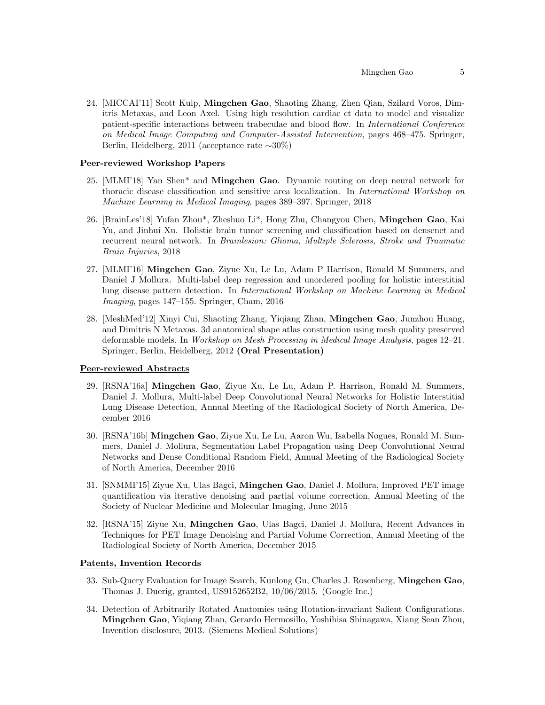24. [MICCAI'11] Scott Kulp, Mingchen Gao, Shaoting Zhang, Zhen Qian, Szilard Voros, Dimitris Metaxas, and Leon Axel. Using high resolution cardiac ct data to model and visualize patient-specific interactions between trabeculae and blood flow. In International Conference on Medical Image Computing and Computer-Assisted Intervention, pages 468–475. Springer, Berlin, Heidelberg, 2011 (acceptance rate ∼30%)

### Peer-reviewed Workshop Papers

- 25. [MLMI'18] Yan Shen\* and Mingchen Gao. Dynamic routing on deep neural network for thoracic disease classification and sensitive area localization. In International Workshop on Machine Learning in Medical Imaging, pages 389–397. Springer, 2018
- 26. [BrainLes'18] Yufan Zhou\*, Zheshuo Li\*, Hong Zhu, Changyou Chen, Mingchen Gao, Kai Yu, and Jinhui Xu. Holistic brain tumor screening and classification based on densenet and recurrent neural network. In Brainlesion: Glioma, Multiple Sclerosis, Stroke and Traumatic Brain Injuries, 2018
- 27. [MLMI'16] Mingchen Gao, Ziyue Xu, Le Lu, Adam P Harrison, Ronald M Summers, and Daniel J Mollura. Multi-label deep regression and unordered pooling for holistic interstitial lung disease pattern detection. In International Workshop on Machine Learning in Medical Imaging, pages 147–155. Springer, Cham, 2016
- 28. [MeshMed'12] Xinyi Cui, Shaoting Zhang, Yiqiang Zhan, Mingchen Gao, Junzhou Huang, and Dimitris N Metaxas. 3d anatomical shape atlas construction using mesh quality preserved deformable models. In Workshop on Mesh Processing in Medical Image Analysis, pages 12–21. Springer, Berlin, Heidelberg, 2012 (Oral Presentation)

#### Peer-reviewed Abstracts

- 29. [RSNA'16a] Mingchen Gao, Ziyue Xu, Le Lu, Adam P. Harrison, Ronald M. Summers, Daniel J. Mollura, Multi-label Deep Convolutional Neural Networks for Holistic Interstitial Lung Disease Detection, Annual Meeting of the Radiological Society of North America, December 2016
- 30. [RSNA'16b] Mingchen Gao, Ziyue Xu, Le Lu, Aaron Wu, Isabella Nogues, Ronald M. Summers, Daniel J. Mollura, Segmentation Label Propagation using Deep Convolutional Neural Networks and Dense Conditional Random Field, Annual Meeting of the Radiological Society of North America, December 2016
- 31. [SNMMI'15] Ziyue Xu, Ulas Bagci, Mingchen Gao, Daniel J. Mollura, Improved PET image quantification via iterative denoising and partial volume correction, Annual Meeting of the Society of Nuclear Medicine and Molecular Imaging, June 2015
- 32. [RSNA'15] Ziyue Xu, Mingchen Gao, Ulas Bagci, Daniel J. Mollura, Recent Advances in Techniques for PET Image Denoising and Partial Volume Correction, Annual Meeting of the Radiological Society of North America, December 2015

#### Patents, Invention Records

- 33. Sub-Query Evaluation for Image Search, Kunlong Gu, Charles J. Rosenberg, Mingchen Gao, Thomas J. Duerig, granted, US9152652B2, 10/06/2015. (Google Inc.)
- 34. Detection of Arbitrarily Rotated Anatomies using Rotation-invariant Salient Configurations. Mingchen Gao, Yiqiang Zhan, Gerardo Hermosillo, Yoshihisa Shinagawa, Xiang Sean Zhou, Invention disclosure, 2013. (Siemens Medical Solutions)